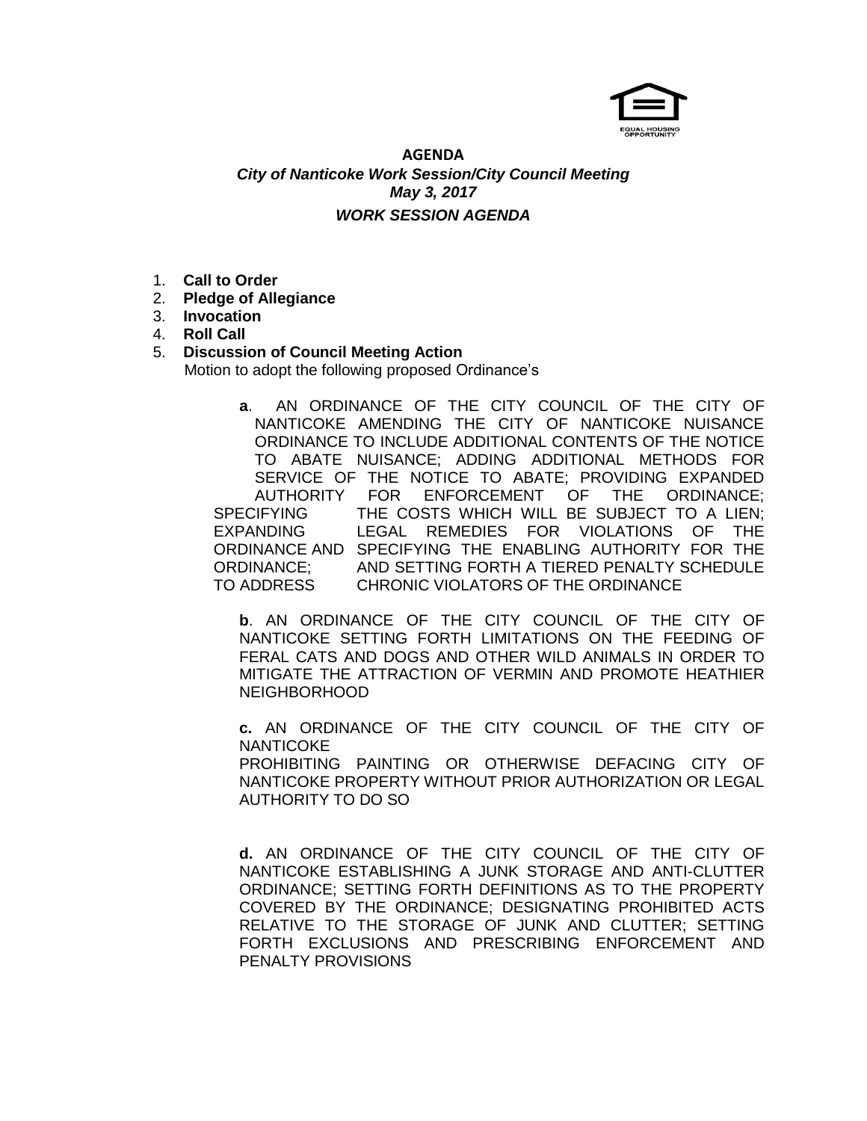

# **AGENDA** *City of Nanticoke Work Session/City Council Meeting May 3, 2017 WORK SESSION AGENDA*

- 1. **Call to Order**
- 2. **Pledge of Allegiance**
- 3. **Invocation**
- 4. **Roll Call**
- 5. **Discussion of Council Meeting Action** Motion to adopt the following proposed Ordinance's
	- **a**.AN ORDINANCE OF THE CITY COUNCIL OF THE CITY OF NANTICOKE AMENDING THE CITY OF NANTICOKE NUISANCE ORDINANCE TO INCLUDE ADDITIONAL CONTENTS OF THE NOTICE TO ABATE NUISANCE; ADDING ADDITIONAL METHODS FOR SERVICE OF THE NOTICE TO ABATE; PROVIDING EXPANDED AUTHORITY FOR ENFORCEMENT OF THE ORDINANCE; SPECIFYING THE COSTS WHICH WILL BE SUBJECT TO A LIEN; EXPANDING LEGAL REMEDIES FOR VIOLATIONS OF THE ORDINANCE AND SPECIFYING THE ENABLING AUTHORITY FOR THE ORDINANCE; AND SETTING FORTH A TIERED PENALTY SCHEDULE TO ADDRESS CHRONIC VIOLATORS OF THE ORDINANCE

**b**. AN ORDINANCE OF THE CITY COUNCIL OF THE CITY OF NANTICOKE SETTING FORTH LIMITATIONS ON THE FEEDING OF FERAL CATS AND DOGS AND OTHER WILD ANIMALS IN ORDER TO MITIGATE THE ATTRACTION OF VERMIN AND PROMOTE HEATHIER NEIGHBORHOOD

**c.** AN ORDINANCE OF THE CITY COUNCIL OF THE CITY OF **NANTICOKE** PROHIBITING PAINTING OR OTHERWISE DEFACING CITY OF NANTICOKE PROPERTY WITHOUT PRIOR AUTHORIZATION OR LEGAL AUTHORITY TO DO SO

**d.** AN ORDINANCE OF THE CITY COUNCIL OF THE CITY OF NANTICOKE ESTABLISHING A JUNK STORAGE AND ANTI-CLUTTER ORDINANCE; SETTING FORTH DEFINITIONS AS TO THE PROPERTY COVERED BY THE ORDINANCE; DESIGNATING PROHIBITED ACTS RELATIVE TO THE STORAGE OF JUNK AND CLUTTER; SETTING FORTH EXCLUSIONS AND PRESCRIBING ENFORCEMENT AND PENALTY PROVISIONS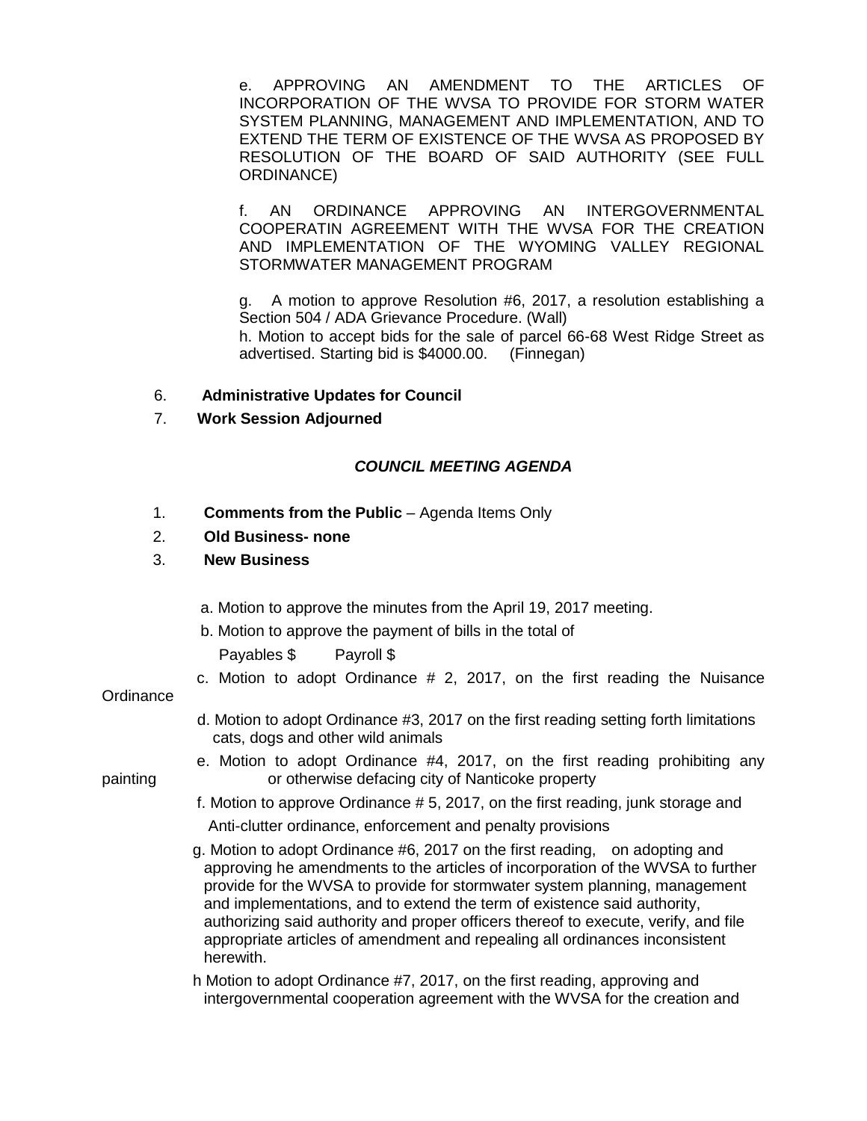e. APPROVING AN AMENDMENT TO THE ARTICLES OF INCORPORATION OF THE WVSA TO PROVIDE FOR STORM WATER SYSTEM PLANNING, MANAGEMENT AND IMPLEMENTATION, AND TO EXTEND THE TERM OF EXISTENCE OF THE WVSA AS PROPOSED BY RESOLUTION OF THE BOARD OF SAID AUTHORITY (SEE FULL ORDINANCE)

f. AN ORDINANCE APPROVING AN INTERGOVERNMENTAL COOPERATIN AGREEMENT WITH THE WVSA FOR THE CREATION AND IMPLEMENTATION OF THE WYOMING VALLEY REGIONAL STORMWATER MANAGEMENT PROGRAM

g. A motion to approve Resolution #6, 2017, a resolution establishing a Section 504 / ADA Grievance Procedure. (Wall) h. Motion to accept bids for the sale of parcel 66-68 West Ridge Street as advertised. Starting bid is \$4000.00. (Finnegan)

- 6. **Administrative Updates for Council**
- 7. **Work Session Adjourned**

## *COUNCIL MEETING AGENDA*

- 1. **Comments from the Public** Agenda Items Only
- 2. **Old Business- none**

## 3. **New Business**

- a. Motion to approve the minutes from the April 19, 2017 meeting.
- b. Motion to approve the payment of bills in the total of

Payables \$ Payroll \$

c. Motion to adopt Ordinance  $# 2, 2017$ , on the first reading the Nuisance

### **Ordinance**

- d. Motion to adopt Ordinance #3, 2017 on the first reading setting forth limitations cats, dogs and other wild animals
- e. Motion to adopt Ordinance #4, 2017, on the first reading prohibiting any painting or otherwise defacing city of Nanticoke property
	- f. Motion to approve Ordinance # 5, 2017, on the first reading, junk storage and Anti-clutter ordinance, enforcement and penalty provisions
	- g. Motion to adopt Ordinance #6, 2017 on the first reading, on adopting and approving he amendments to the articles of incorporation of the WVSA to further provide for the WVSA to provide for stormwater system planning, management and implementations, and to extend the term of existence said authority, authorizing said authority and proper officers thereof to execute, verify, and file appropriate articles of amendment and repealing all ordinances inconsistent herewith.

 h Motion to adopt Ordinance #7, 2017, on the first reading, approving and intergovernmental cooperation agreement with the WVSA for the creation and